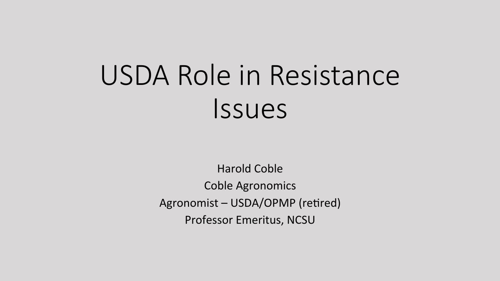# USDA Role in Resistance Issues

**Harold Coble Coble Agronomics** Agronomist - USDA/OPMP (retired) Professor Emeritus, NCSU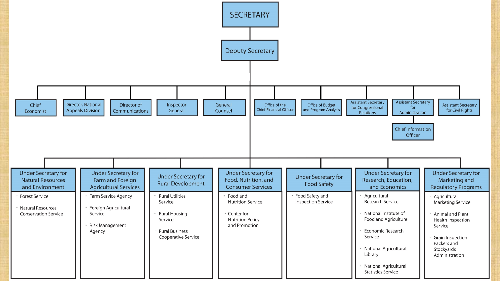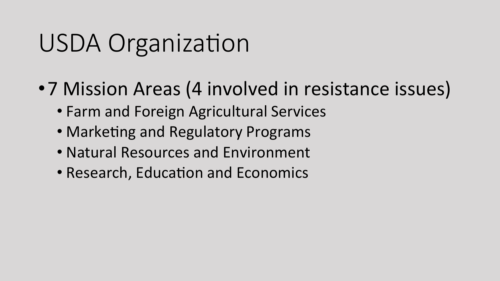### USDA Organization

- •7 Mission Areas (4 involved in resistance issues)
	- Farm and Foreign Agricultural Services
	- Marketing and Regulatory Programs
	- Natural Resources and Environment
	- Research, Education and Economics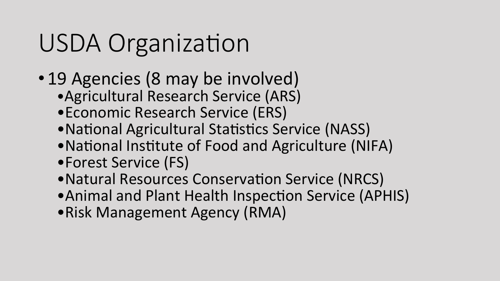# USDA Organization

- 19 Agencies (8 may be involved)
	- Agricultural Research Service (ARS)
	- Economic Research Service (ERS)
	- National Agricultural Statistics Service (NASS)
	- National Institute of Food and Agriculture (NIFA)
	- •Forest Service (FS)
	- Natural Resources Conservation Service (NRCS)
	- Animal and Plant Health Inspection Service (APHIS)
	- •Risk Management Agency (RMA)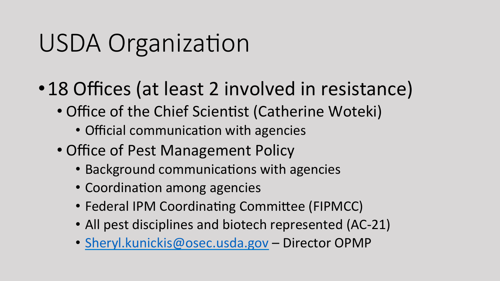## USDA Organization

- •18 Offices (at least 2 involved in resistance)
	- Office of the Chief Scientist (Catherine Woteki)
		- Official communication with agencies
	- Office of Pest Management Policy
		- Background communications with agencies
		- Coordination among agencies
		- Federal IPM Coordinating Committee (FIPMCC)
		- All pest disciplines and biotech represented (AC-21)
		- Sheryl.kunickis@osec.usda.gov Director OPMP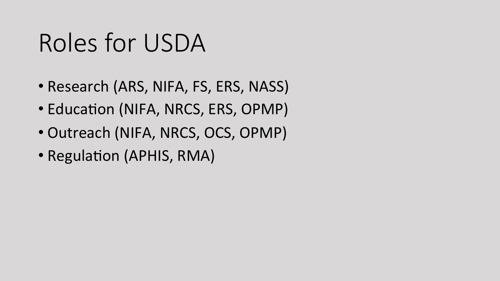#### Roles for USDA

- Research (ARS, NIFA, FS, ERS, NASS)
- Education (NIFA, NRCS, ERS, OPMP)
- Outreach (NIFA, NRCS, OCS, OPMP)
- Regulation (APHIS, RMA)